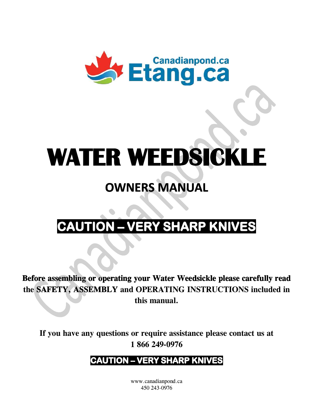

# **WATER WEEDSICKLE**

# **OWNERS MANUAL**

# **CAUTION - VERY SHARP KNIVES**

Before assembling or operating your Water Weedsickle please carefully read the SAFETY, ASSEMBLY and OPERATING INSTRUCTIONS included in this manual.

If you have any questions or require assistance please contact us at 1866249-0976

# **CAUTION – VERY SHARP KNIVES**

www.canadianpond.ca 450 243-0976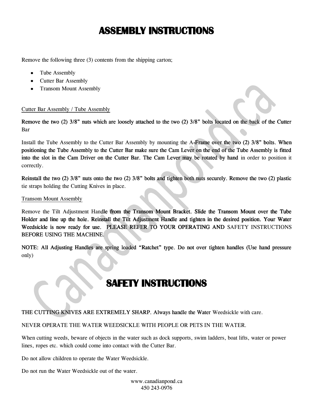## **ASSEMBLY INSTRUCTIONS**

Remove the following three (3) contents from the shipping carton;

- Tube Assembly
- Cutter Bar Assembly
- Transom Mount Assembly

#### Cutter Bar Assembly / Tube Assembly

Remove the two (2) 3/8" nuts which are loosely attached to the two (2) 3/8" bolts located on the back of the Cutter Bar

Install the Tube Assembly to the Cutter Bar Assembly by mounting the A-Frame over the two (2) 3/8" bolts. When positioning the Tube Assembly to the Cutter Bar make sure the Cam Lever on the end of the Tube Assembly is fitted into the slot in the Cam Driver on the Cutter Bar. The Cam Lever may be rotated by hand in order to position it correctly.

Reinstall the two  $(2)$  3/8" nuts onto the two  $(2)$  3/8" bolts and tighten both nuts securely. Remove the two  $(2)$  plastic tie straps holding the Cutting Knives in place.

#### **Transom Mount Assembly**

Remove the Tilt Adjustment Handle from the Transom Mount Bracket. Slide the Transom Mount over the Tube Holder and line up the hole. Reinstall the Tilt Adjustment Handle and tighten in the desired position. Your Water Weedsickle is now ready for use. PLEASE REFER TO YOUR OPERATING AND SAFETY INSTRUCTIONS BEFORE USING THE MACHINE.

NOTE: All Adjusting Handles are spring loaded "Ratchet" type. Do not over tighten handles (Use hand pressure only)

### **SAFETY INSTRUCTIONS**

THE CUTTING KNIVES ARE EXTREMELY SHARP. Always handle the Water Weedsickle with care.

NEVER OPERATE THE WATER WEEDSICKLE WITH PEOPLE OR PETS IN THE WATER.

When cutting weeds, beware of objects in the water such as dock supports, swim ladders, boat lifts, water or power lines, ropes etc. which could come into contact with the Cutter Bar.

Do not allow children to operate the Water Weedsickle.

Do not run the Water Weedsickle out of the water.

www.canadianpond.ca 450 243-0976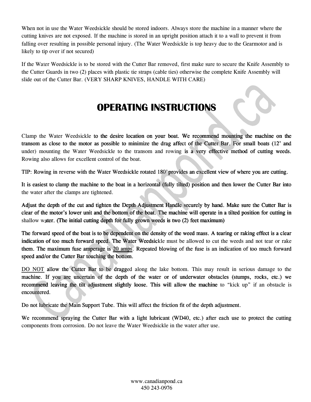When not in use the Water Weedsickle should be stored indoors. Always store the machine in a manner where the cutting knives are not exposed. If the machine is stored in an upright position attach it to a wall to prevent it from falling over resulting in possible personal injury. (The Water Weedsickle is top heavy due to the Gearmotor and is likely to tip over if not secured)

If the Water Weedsickle is to be stored with the Cutter Bar removed, first make sure to secure the Knife Assembly to the Cutter Guards in two (2) places with plastic tie straps (cable ties) otherwise the complete Knife Assembly will slide out of the Cutter Bar. (VERY SHARP KNIVES, HANDLE WITH CARE)

## **OPERATING INSTRUCTIONS**

Clamp the Water Weedsickle to the desire location on your boat. We recommend mounting the machine on the transom as close to the motor as possible to minimize the drag affect of the Cutter Bar. For small boats (12' and under) mounting the Water Weedsickle to the transom and rowing is a very effective method of cutting weeds. Rowing also allows for excellent control of the boat.

TIP: Rowing in reverse with the Water Weedsickle rotated 180° provides an excellent view of where you are cutting.

It is easiest to clamp the machine to the boat in a horizontal (fully tilted) position and then lower the Cutter Bar into the water after the clamps are tightened.

Adjust the depth of the cut and tighten the Depth Adjustment Handle securely by hand. Make sure the Cutter Bar is clear of the motor's lower unit and the bottom of the boat. The machine will operate in a tilted position for cutting in shallow water. (The initial cutting depth for fully grown weeds is two (2) feet maximum)

The forward speed of the boat is to be dependent on the density of the weed mass. A tearing or raking effect is a clear indication of too much forward speed. The Water Weedsickle must be allowed to cut the weeds and not tear or rake them. The maximum fuse amperage is 20 amps. Repeated blowing of the fuse is an indication of too much forward speed and/or the Cutter Bar touching the bottom.

DO NOT allow the Cutter Bar to be dragged along the lake bottom. This may result in serious damage to the machine. If you are uncertain of the depth of the water or of underwater obstacles (stumps, rocks, etc.) we recommend leaving the tilt adjustment slightly loose. This will allow the machine to "kick up" if an obstacle is encountered.

Do not lubricate the Main Support Tube. This will affect the friction fit of the depth adjustment.

We recommend spraying the Cutter Bar with a light lubricant (WD40, etc.) after each use to protect the cutting components from corrosion. Do not leave the Water Weedsickle in the water after use.